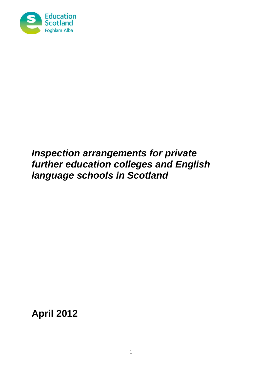

# *Inspection arrangements for private further education colleges and English language schools in Scotland*

**April 2012**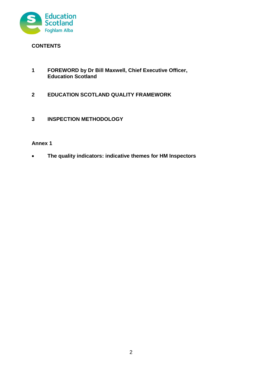

# **CONTENTS**

- **1 FOREWORD by Dr Bill Maxwell, Chief Executive Officer, Education Scotland**
- **2 EDUCATION SCOTLAND QUALITY FRAMEWORK**
- **3 INSPECTION METHODOLOGY**

# **Annex 1**

**The quality indicators: indicative themes for HM Inspectors**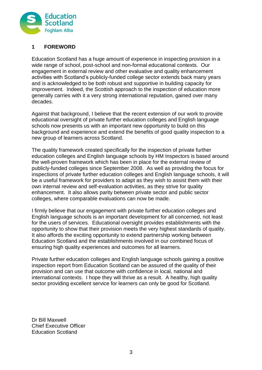

# **1 FOREWORD**

Education Scotland has a huge amount of experience in inspecting provision in a wide range of school, post-school and non-formal educational contexts. Our engagement in external review and other evaluative and quality enhancement activities with Scotland's publicly-funded college sector extends back many years and is acknowledged to be both robust and supportive in building capacity for improvement. Indeed, the Scottish approach to the inspection of education more generally carries with it a very strong international reputation, gained over many decades.

Against that background, I believe that the recent extension of our work to provide educational oversight of private further education colleges and English language schools now presents us with an important new opportunity to build on this background and experience and extend the benefits of good quality inspection to a new group of learners across Scotland.

The quality framework created specifically for the inspection of private further education colleges and English language schools by HM Inspectors is based around the well-proven framework which has been in place for the external review of publicly-funded colleges since September 2008. As well as providing the focus for inspections of private further education colleges and English language schools, it will be a useful framework for providers to adapt as they wish to assist them with their own internal review and self-evaluation activities, as they strive for quality enhancement. It also allows parity between private sector and public sector colleges, where comparable evaluations can now be made.

I firmly believe that our engagement with private further education colleges and English language schools is an important development for all concerned, not least for the users of services. Educational oversight provides establishments with the opportunity to show that their provision meets the very highest standards of quality. It also affords the exciting opportunity to extend partnership working between Education Scotland and the establishments involved in our combined focus of ensuring high quality experiences and outcomes for all learners.

Private further education colleges and English language schools gaining a positive inspection report from Education Scotland can be assured of the quality of their provision and can use that outcome with confidence in local, national and international contexts. I hope they will thrive as a result. A healthy, high quality sector providing excellent service for learners can only be good for Scotland.

Dr Bill Maxwell Chief Executive Officer Education Scotland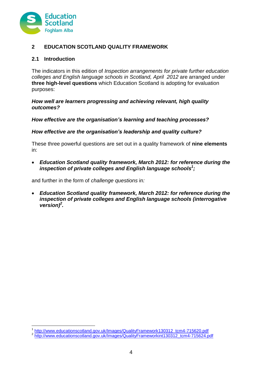

# **2 EDUCATION SCOTLAND QUALITY FRAMEWORK**

# **2.1 Introduction**

1

The indicators in this edition of *Inspection arrangements for private further education colleges and English language schools in Scotland, April 2012* are arranged under **three high-level questions** which Education Scotland is adopting for evaluation purposes:

### *How well are learners progressing and achieving relevant, high quality outcomes?*

*How effective are the organisation's learning and teaching processes?* 

# *How effective are the organisation's leadership and quality culture?*

These three powerful questions are set out in a quality framework of **nine elements**  in:

 *Education Scotland quality framework, March 2012: for reference during the inspection of private colleges and English language schools<sup>1</sup> ;*

and further in the form of *challenge questions* in*:*

 *Education Scotland quality framework, March 2012: for reference during the inspection of private colleges and English language schools (interrogative version)<sup>2</sup> .*

<sup>1</sup> [http://www.educationscotland.gov.uk/Images/QualityFramework130312\\_tcm4-715620.pdf](http://www.educationscotland.gov.uk/Images/QualityFramework130312_tcm4-715620.pdf)

<sup>&</sup>lt;sup>2</sup> [http://www.educationscotland.gov.uk/Images/QualityFrameworkint130312\\_tcm4-715624.pdf](http://www.educationscotland.gov.uk/Images/QualityFrameworkint130312_tcm4-715624.pdf)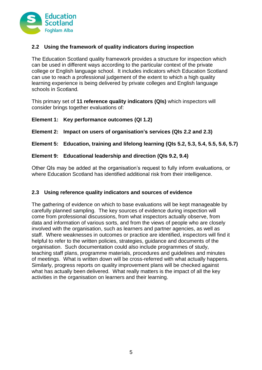

# **2.2 Using the framework of quality indicators during inspection**

The Education Scotland quality framework provides a structure for inspection which can be used in different ways according to the particular context of the private college or English language school. It includes indicators which Education Scotland can use to reach a professional judgement of the extent to which a high quality learning experience is being delivered by private colleges and English language schools in Scotland*.* 

This primary set of **11 reference quality indicators (QIs)** which inspectors will consider brings together evaluations of:

### **Element 1: Key performance outcomes (QI 1.2)**

**Element 2: Impact on users of organisation's services (QIs 2.2 and 2.3)**

# **Element 5: Education, training and lifelong learning (QIs 5.2, 5.3, 5.4, 5.5, 5.6, 5.7)**

# **Element 9: Educational leadership and direction (QIs 9.2, 9.4)**

Other QIs may be added at the organisation's request to fully inform evaluations, or where Education Scotland has identified additional risk from their intelligence.

# **2.3 Using reference quality indicators and sources of evidence**

The gathering of evidence on which to base evaluations will be kept manageable by carefully planned sampling. The key sources of evidence during inspection will come from professional discussions, from what inspectors actually observe, from data and information of various sorts, and from the views of people who are closely involved with the organisation, such as learners and partner agencies, as well as staff. Where weaknesses in outcomes or practice are identified, inspectors will find it helpful to refer to the written policies, strategies, guidance and documents of the organisation. Such documentation could also include programmes of study, teaching staff plans, programme materials, procedures and guidelines and minutes of meetings. What is written down will be cross-referred with what actually happens. Similarly, progress reports on quality improvement plans will be checked against what has actually been delivered. What really matters is the impact of all the key activities in the organisation on learners and their learning.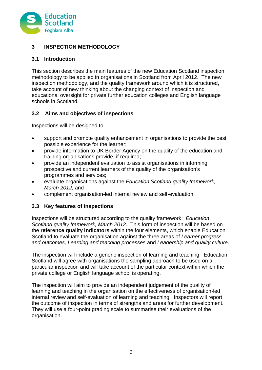

# **3 INSPECTION METHODOLOGY**

# **3.1 Introduction**

This section describes the main features of the new Education Scotland inspection methodology to be applied in organisations in Scotland from April 2012. The new inspection methodology, and the quality framework around which it is structured, take account of new thinking about the changing context of inspection and educational oversight for private further education colleges and English language schools in Scotland.

# **3.2 Aims and objectives of inspections**

Inspections will be designed to:

- support and promote quality enhancement in organisations to provide the best possible experience for the learner;
- provide information to UK Border Agency on the quality of the education and training organisations provide, if required;
- provide an independent evaluation to assist organisations in informing prospective and current learners of the quality of the organisation's programmes and services;
- evaluate organisations against the *Education Scotland quality framework, March 2012;* and
- complement organisation-led internal review and self-evaluation.

# **3.3 Key features of inspections**

Inspections will be structured according to the quality framework: *Education Scotland quality framework, March 2012.* This form of inspection will be based on the **reference quality indicators** within the four elements, which enable Education Scotland to evaluate the organisation against the three areas of *Learner progress and outcomes, Learning and teaching processes* and *Leadership and quality culture*.

The inspection will include a generic inspection of learning and teaching. Education Scotland will agree with organisations the sampling approach to be used on a particular inspection and will take account of the particular context within which the private college or English language school is operating.

The inspection will aim to provide an independent judgement of the quality of learning and teaching in the organisation on the effectiveness of organisation-led internal review and self-evaluation of learning and teaching. Inspectors will report the outcome of inspection in terms of strengths and areas for further development. They will use a four-point grading scale to summarise their evaluations of the organisation.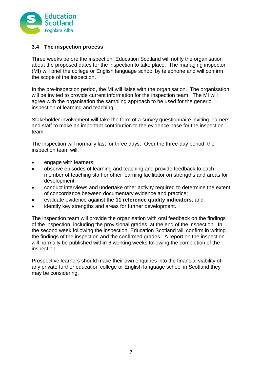

# **3.4 The inspection process**

Three weeks before the inspection, Education Scotland will notify the organisation about the proposed dates for the inspection to take place. The managing inspector (MI) will brief the college or English language school by telephone and will confirm the scope of the inspection.

In the pre-inspection period, the MI will liaise with the organisation. The organisation will be invited to provide current information for the inspection team. The MI will agree with the organisation the sampling approach to be used for the generic inspection of learning and teaching.

Stakeholder involvement will take the form of a survey questionnaire inviting learners and staff to make an important contribution to the evidence base for the inspection team.

The inspection will normally last for three days. Over the three-day period, the inspection team will:

- engage with learners;
- observe episodes of learning and teaching and provide feedback to each member of teaching staff or other learning facilitator on strengths and areas for development;
- conduct interviews and undertake other activity required to determine the extent of concordance between documentary evidence and practice;
- evaluate evidence against the **11 reference quality indicators**; and
- identify key strengths and areas for further development.

The inspection team will provide the organisation with oral feedback on the findings of the inspection, including the provisional grades, at the end of the inspection. In the second week following the inspection, Education Scotland will confirm in writing the findings of the inspection and the confirmed grades. A report on the inspection will normally be published within 6 working weeks following the completion of the inspection.

Prospective learners should make their own enquiries into the financial viability of any private further education college or English language school in Scotland they may be considering.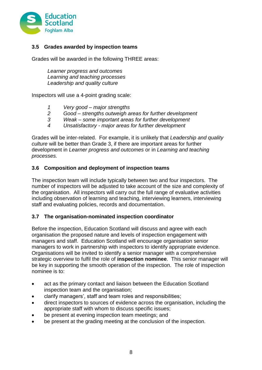

# **3.5 Grades awarded by inspection teams**

Grades will be awarded in the following THREE areas:

*Learner progress and outcomes Learning and teaching processes Leadership and quality culture*

Inspectors will use a 4-point grading scale:

- *1 Very good – major strengths*
- *2 Good – strengths outweigh areas for further development*
- *3 Weak – some important areas for further development*
- *4 Unsatisfactory - major areas for further development*

Grades will be inter-related. For example, it is unlikely that *Leadership and quality culture* will be better than Grade 3, if there are important areas for further development in *Learner progress and outcomes* or in *Learning and teaching processes.*

### **3.6 Composition and deployment of inspection teams**

The inspection team will include typically between two and four inspectors. The number of inspectors will be adjusted to take account of the size and complexity of the organisation. All inspectors will carry out the full range of evaluative activities including observation of learning and teaching, interviewing learners, interviewing staff and evaluating policies, records and documentation.

#### **3.7 The organisation-nominated inspection coordinator**

Before the inspection, Education Scotland will discuss and agree with each organisation the proposed nature and levels of inspection engagement with managers and staff. Education Scotland will encourage organisation senior managers to work in partnership with inspectors to identify appropriate evidence. Organisations will be invited to identify a senior manager with a comprehensive strategic overview to fulfil the role of **inspection nominee**. This senior manager will be key in supporting the smooth operation of the inspection. The role of inspection nominee is to:

- act as the primary contact and liaison between the Education Scotland inspection team and the organisation;
- clarify managers', staff and team roles and responsibilities;
- direct inspectors to sources of evidence across the organisation, including the appropriate staff with whom to discuss specific issues;
- be present at evening inspection team meetings; and
- be present at the grading meeting at the conclusion of the inspection.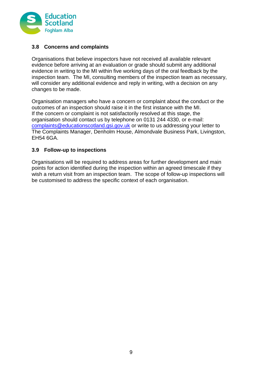

# **3.8 Concerns and complaints**

Organisations that believe inspectors have not received all available relevant evidence before arriving at an evaluation or grade should submit any additional evidence in writing to the MI within five working days of the oral feedback by the inspection team. The MI, consulting members of the inspection team as necessary, will consider any additional evidence and reply in writing, with a decision on any changes to be made.

Organisation managers who have a concern or complaint about the conduct or the outcomes of an inspection should raise it in the first instance with the MI. If the concern or complaint is not satisfactorily resolved at this stage, the organisation should contact us by telephone on 0131 244 4330, or e-mail: [complaints@educationscotland.gsi.gov.uk](mailto:complaints@educationscotland.gsi.gov.uk) or write to us addressing your letter to The Complaints Manager, Denholm House, Almondvale Business Park, Livingston, EH54 6GA.

# **3.9 Follow-up to inspections**

Organisations will be required to address areas for further development and main points for action identified during the inspection within an agreed timescale if they wish a return visit from an inspection team. The scope of follow-up inspections will be customised to address the specific context of each organisation.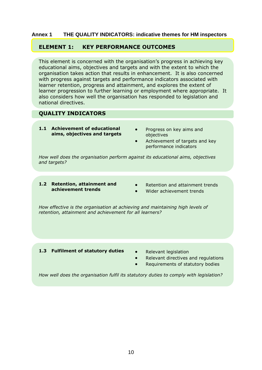#### **Annex 1 THE QUALITY INDICATORS: indicative themes for HM inspectors**

### **ELEMENT 1: KEY PERFORMANCE OUTCOMES**

This element is concerned with the organisation's progress in achieving key educational aims, objectives and targets and with the extent to which the organisation takes action that results in enhancement. It is also concerned with progress against targets and performance indicators associated with learner retention, progress and attainment, and explores the extent of learner progression to further learning or employment where appropriate. It also considers how well the organisation has responded to legislation and national directives.

### **QUALITY INDICATORS**

- **1.1 Achievement of educational aims, objectives and targets**
- Progress on key aims and objectives
- Achievement of targets and key performance indicators

*How well does the organisation perform against its educational aims, objectives and targets?*

- **1.2 Retention, attainment and achievement trends**
- Retention and attainment trends
- Wider achievement trends

*How effective is the organisation at achieving and maintaining high levels of retention, attainment and achievement for all learners?*

#### 1.3 **Fulfilment of statutory duties** • Relevant legislation

- 
- Relevant directives and regulations
- Requirements of statutory bodies

*How well does the organisation fulfil its statutory duties to comply with legislation?*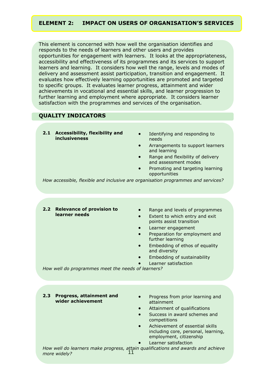### **ELEMENT 2: IMPACT ON USERS OF ORGANISATION'S SERVICES**

This element is concerned with how well the organisation identifies and responds to the needs of learners and other users and provides opportunities for engagement with learners. It looks at the appropriateness, accessibility and effectiveness of its programmes and its services to support learners and learning. It considers how well the range, levels and modes of delivery and assessment assist participation, transition and engagement. It evaluates how effectively learning opportunities are promoted and targeted to specific groups. It evaluates learner progress, attainment and wider achievements in vocational and essential skills, and learner progression to further learning and employment where appropriate. It considers learner satisfaction with the programmes and services of the organisation.

#### **QUALITY INDICATORS**

- **2.1 Accessibility, flexibility and inclusiveness**
- Identifying and responding to needs
- Arrangements to support learners and learning
- Range and flexibility of delivery and assessment modes
- Promoting and targeting learning opportunities

*How accessible, flexible and inclusive are organisation programmes and services?*

- **2.2 Relevance of provision to learner needs**
- Range and levels of programmes
- Extent to which entry and exit points assist transition
- Learner engagement
- Preparation for employment and further learning
- Embedding of ethos of equality and diversity
- Embedding of sustainability
- Learner satisfaction

*How well do programmes meet the needs of learners?*

- **2.3 Progress, attainment and wider achievement**
- Progress from prior learning and attainment
- Attainment of qualifications
- Success in award schemes and competitions
- Achievement of essential skills including core, personal, learning, employment, citizenship
- Learner satisfaction

11 *How well do learners make progress, attain qualifications and awards and achieve more widely?*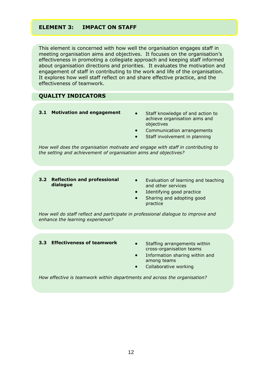# **ELEMENT 3: IMPACT ON STAFF**

This element is concerned with how well the organisation engages staff in meeting organisation aims and objectives. It focuses on the organisation's effectiveness in promoting a collegiate approach and keeping staff informed about organisation directions and priorities. It evaluates the motivation and engagement of staff in contributing to the work and life of the organisation. It explores how well staff reflect on and share effective practice, and the effectiveness of teamwork.

### **QUALITY INDICATORS**

- **3.1 Motivation and engagement** . Staff knowledge of and action to
	- achieve organisation aims and objectives
	- Communication arrangements
	- Staff involvement in planning

*How well does the organisation motivate and engage with staff in contributing to the setting and achievement of organisation aims and objectives?*

- **3.2 Reflection and professional dialogue**
- Evaluation of learning and teaching and other services
- Identifying good practice
- Sharing and adopting good practice

*How well do staff reflect and participate in professional dialogue to improve and enhance the learning experience?*

#### **3.3 Effectiveness of teamwork •** Staffing arrangements within

- cross-organisation teams
- Information sharing within and among teams
- Collaborative working

*How effective is teamwork within departments and across the organisation?*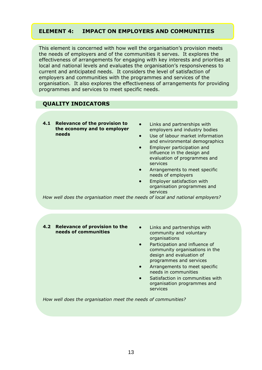# **ELEMENT 4: IMPACT ON EMPLOYERS AND COMMUNITIES**

This element is concerned with how well the organisation's provision meets the needs of employers and of the communities it serves. It explores the effectiveness of arrangements for engaging with key interests and priorities at local and national levels and evaluates the organisation's responsiveness to current and anticipated needs. It considers the level of satisfaction of employers and communities with the programmes and services of the organisation. It also explores the effectiveness of arrangements for providing programmes and services to meet specific needs.

# **QUALITY INDICATORS**

- **4.1 Relevance of the provision to the economy and to employer needs**
- Links and partnerships with employers and industry bodies
- Use of labour market information and environmental demographics
- Employer participation and influence in the design and evaluation of programmes and services
- Arrangements to meet specific needs of employers
- Employer satisfaction with organisation programmes and services

*How well does the organisation meet the needs of local and national employers?*

#### **4.2 Relevance of provision to the needs of communities**

- Links and partnerships with community and voluntary organisations
- Participation and influence of community organisations in the design and evaluation of programmes and services
- Arrangements to meet specific needs in communities
- Satisfaction in communities with organisation programmes and services

*How well does the organisation meet the needs of communities?*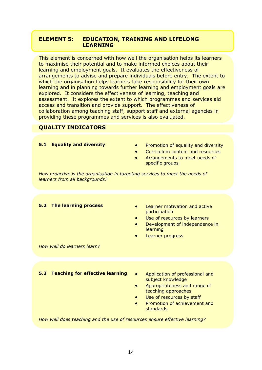# **ELEMENT 5: EDUCATION, TRAINING AND LIFELONG LEARNING**

This element is concerned with how well the organisation helps its learners to maximise their potential and to make informed choices about their learning and employment goals. It evaluates the effectiveness of arrangements to advise and prepare individuals before entry. The extent to which the organisation helps learners take responsibility for their own learning and in planning towards further learning and employment goals are explored. It considers the effectiveness of learning, teaching and assessment. It explores the extent to which programmes and services aid access and transition and provide support. The effectiveness of collaboration among teaching staff, support staff and external agencies in providing these programmes and services is also evaluated.

# **QUALITY INDICATORS**

| 5.1 Equality and diversity                                                                                     | Promotion of equality and diversity<br>$\bullet$<br>Curriculum content and resources<br>$\bullet$<br>Arrangements to meet needs of<br>specific groups         |
|----------------------------------------------------------------------------------------------------------------|---------------------------------------------------------------------------------------------------------------------------------------------------------------|
| How proactive is the organisation in targeting services to meet the needs of<br>learners from all backgrounds? |                                                                                                                                                               |
|                                                                                                                |                                                                                                                                                               |
| <b>5.2 The learning process</b><br>How well do learners learn?                                                 | Learner motivation and active<br>participation<br>Use of resources by learners<br>$\bullet$<br>Development of independence in<br>learning<br>Learner progress |
|                                                                                                                |                                                                                                                                                               |
|                                                                                                                |                                                                                                                                                               |
| <b>Teaching for effective learning</b><br>5.3                                                                  | Application of professional and<br>$\bullet$<br>subject knowledge<br>Appropriateness and range of<br>teaching approaches                                      |

- Use of resources by staff
- Promotion of achievement and standards

*How well does teaching and the use of resources ensure effective learning?*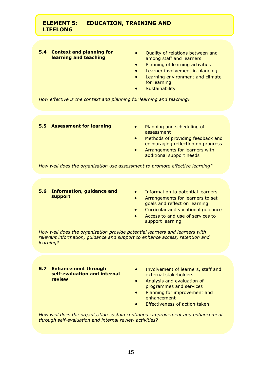# **ELEMENT 5: EDUCATION, TRAINING AND LIFELONG**

**LEARNING** 

#### **5.4 Context and planning for learning and teaching**

- Quality of relations between and among staff and learners
- Planning of learning activities
- **•** Learner involvement in planning
- Learning environment and climate for learning
- **Sustainability**

*How effective is the context and planning for learning and teaching?*

#### **5.5 Assessment for learning • Planning and scheduling of**

- assessment
- **•** Methods of providing feedback and encouraging reflection on progress
- **•** Arrangements for learners with additional support needs

*How well does the organisation use assessment to promote effective learning?*

#### **5.6 Information, guidance and support**

- **•** Information to potential learners
- **•** Arrangements for learners to set goals and reflect on learning
- Curricular and vocational guidance
- Access to and use of services to support learning

*How well does the organisation provide potential learners and learners with relevant information, guidance and support to enhance access, retention and learning?*

- **5.7 Enhancement through self-evaluation and internal review**
- Involvement of learners, staff and external stakeholders
- Analysis and evaluation of programmes and services
- Planning for improvement and enhancement
- Effectiveness of action taken

*How well does the organisation sustain continuous improvement and enhancement through self-evaluation and internal review activities?*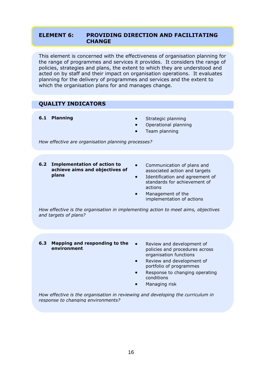# **ELEMENT 6: PROVIDING DIRECTION AND FACILITATING CHANGE**

This element is concerned with the effectiveness of organisation planning for the range of programmes and services it provides. It considers the range of policies, strategies and plans, the extent to which they are understood and acted on by staff and their impact on organisation operations. It evaluates planning for the delivery of programmes and services and the extent to which the organisation plans for and manages change.

# **QUALITY INDICATORS**

- **6.1 Planning Contract Contract Contract Contract Contract Contract Contract Contract Contract Contract Contract Contract Contract Contract Contract Contract Contract Contract Contract Contract Contract Contract Contract** 
	- Operational planning
	- Team planning

*How effective are organisation planning processes?*

- **6.2 Implementation of action to achieve aims and objectives of plans**
- Communication of plans and associated action and targets
- Identification and agreement of standards for achievement of actions
- Management of the implementation of actions

*How effective is the organisation in implementing action to meet aims, objectives and targets of plans?*

- **6.3 Mapping and responding to the environment**
	- Review and development of policies and procedures across organisation functions
	- Review and development of portfolio of programmes
	- Response to changing operating conditions
	- Managing risk

*How effective is the organisation in reviewing and developing the curriculum in response to changing environments?*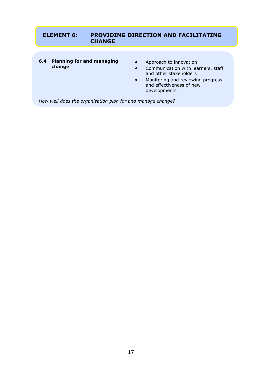# **ELEMENT 6: PROVIDING DIRECTION AND FACILITATING CHANGE**

- **6.4 Planning for and managing change**
- **•** Approach to innovation
- Communication with learners, staff and other stakeholders
- Monitoring and reviewing progress and effectiveness of new developments

*How well does the organisation plan for and manage change?*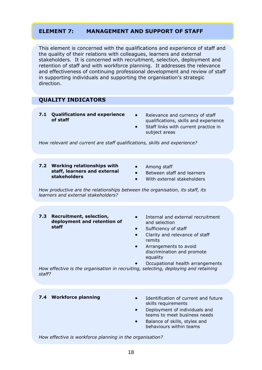# **ELEMENT 7: MANAGEMENT AND SUPPORT OF STAFF**

This element is concerned with the qualifications and experience of staff and the quality of their relations with colleagues, learners and external stakeholders. It is concerned with recruitment, selection, deployment and retention of staff and with workforce planning. It addresses the relevance and effectiveness of continuing professional development and review of staff in supporting individuals and supporting the organisation's strategic direction.

# **QUALITY INDICATORS**

- **7.1 Qualifications and experience of staff**
- Relevance and currency of staff qualifications, skills and experience
- Staff links with current practice in subject areas

*How relevant and current are staff qualifications, skills and experience?*

- **7.2 Working relationships with staff, learners and external stakeholders**
- Among staff
- Between staff and learners
- With external stakeholders

*How productive are the relationships between the organisation, its staff, its learners and external stakeholders?*

- **7.3 Recruitment, selection, deployment and retention of staff**
- Internal and external recruitment and selection
- Sufficiency of staff
- Clarity and relevance of staff remits
- Arrangements to avoid discrimination and promote equality
	- Occupational health arrangements

*How effective is the organisation in recruiting, selecting, deploying and retaining staff?*

- **7.4 Workforce planning <b>IDENT IDENTIFY IDENTIFY** Identification of current and future skills requirements
	- Deployment of individuals and teams to meet business needs
	- Balance of skills, styles and behaviours within teams

*How effective is workforce planning in the organisation?*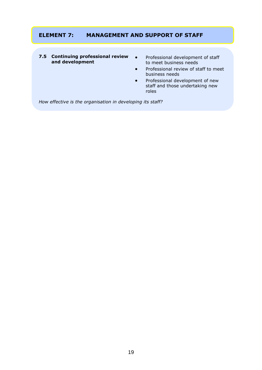# **ELEMENT 7: MANAGEMENT AND SUPPORT OF STAFF**

#### **7.5 Continuing professional review and development**

- Professional development of staff to meet business needs
- Professional review of staff to meet business needs
- Professional development of new staff and those undertaking new roles

*How effective is the organisation in developing its staff?*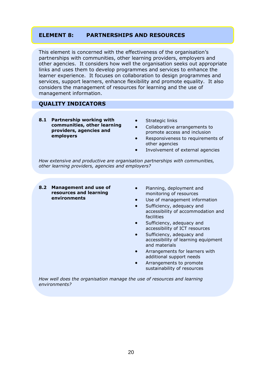# **ELEMENT 8: PARTNERSHIPS AND RESOURCES**

This element is concerned with the effectiveness of the organisation's partnerships with communities, other learning providers, employers and other agencies. It considers how well the organisation seeks out appropriate links and uses them to develop programmes and services to enhance the learner experience. It focuses on collaboration to design programmes and services, support learners, enhance flexibility and promote equality. It also considers the management of resources for learning and the use of management information.

# **QUALITY INDICATORS**

- **8.1 Partnership working with communities, other learning providers, agencies and employers**
- Strategic links
- Collaborative arrangements to promote access and inclusion
- Responsiveness to requirements of other agencies
- Involvement of external agencies

*How extensive and productive are organisation partnerships with communities, other learning providers, agencies and employers?*

- **8.2 Management and use of resources and learning environments**
- Planning, deployment and monitoring of resources
- Use of management information
- Sufficiency, adequacy and accessibility of accommodation and facilities
- Sufficiency, adequacy and accessibility of ICT resources
- Sufficiency, adequacy and accessibility of learning equipment and materials
- Arrangements for learners with additional support needs
- Arrangements to promote sustainability of resources

*How well does the organisation manage the use of resources and learning environments?*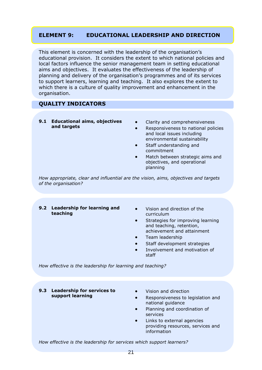# **ELEMENT 9: EDUCATIONAL LEADERSHIP AND DIRECTION**

This element is concerned with the leadership of the organisation's educational provision. It considers the extent to which national policies and local factors influence the senior management team in setting educational aims and objectives. It evaluates the effectiveness of the leadership of planning and delivery of the organisation's programmes and of its services to support learners, learning and teaching. It also explores the extent to which there is a culture of quality improvement and enhancement in the organisation.

# **QUALITY INDICATORS**

- **9.1 Educational aims, objectives and targets**
- Clarity and comprehensiveness
- Responsiveness to national policies and local issues including environmental sustainability
- Staff understanding and commitment
- Match between strategic aims and objectives, and operational planning

*How appropriate, clear and influential are the vision, aims, objectives and targets of the organisation?*

- **9.2 Leadership for learning and teaching**
- Vision and direction of the curriculum
- Strategies for improving learning and teaching, retention, achievement and attainment
- Team leadership
- Staff development strategies
- Involvement and motivation of staff

*How effective is the leadership for learning and teaching?*

- **9.3 Leadership for services to support learning**
- Vision and direction
- Responsiveness to legislation and national guidance
- Planning and coordination of services
- Links to external agencies providing resources, services and information

*How effective is the leadership for services which support learners?*